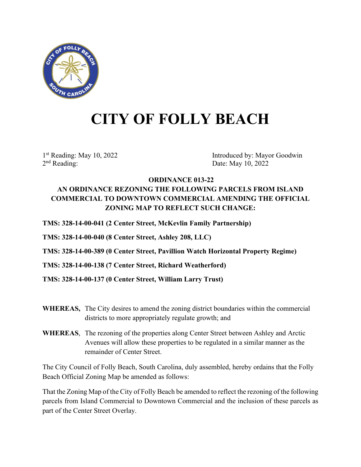

## **CITY OF FOLLY BEACH**

1st Reading: May 10, 2022<br>
2<sup>nd</sup> Reading: 2<sup>nd</sup> Reading: 2<sup>nd</sup> Reading: 2<sup>nd</sup> Reading: 2022 Date: May 10, 2022

## **ORDINANCE 013-22 AN ORDINANCE REZONING THE FOLLOWING PARCELS FROM ISLAND COMMERCIAL TO DOWNTOWN COMMERCIAL AMENDING THE OFFICIAL ZONING MAP TO REFLECT SUCH CHANGE:**

**TMS: 328-14-00-041 (2 Center Street, McKevlin Family Partnership)**

**TMS: 328-14-00-040 (8 Center Street, Ashley 208, LLC)**

- **TMS: 328-14-00-389 (0 Center Street, Pavillion Watch Horizontal Property Regime)**
- **TMS: 328-14-00-138 (7 Center Street, Richard Weatherford)**

**TMS: 328-14-00-137 (0 Center Street, William Larry Trust)**

- **WHEREAS,** The City desires to amend the zoning district boundaries within the commercial districts to more appropriately regulate growth; and
- **WHEREAS**, The rezoning of the properties along Center Street between Ashley and Arctic Avenues will allow these properties to be regulated in a similar manner as the remainder of Center Street.

The City Council of Folly Beach, South Carolina, duly assembled, hereby ordains that the Folly Beach Official Zoning Map be amended as follows:

That the Zoning Map of the City of Folly Beach be amended to reflect the rezoning of the following parcels from Island Commercial to Downtown Commercial and the inclusion of these parcels as part of the Center Street Overlay.